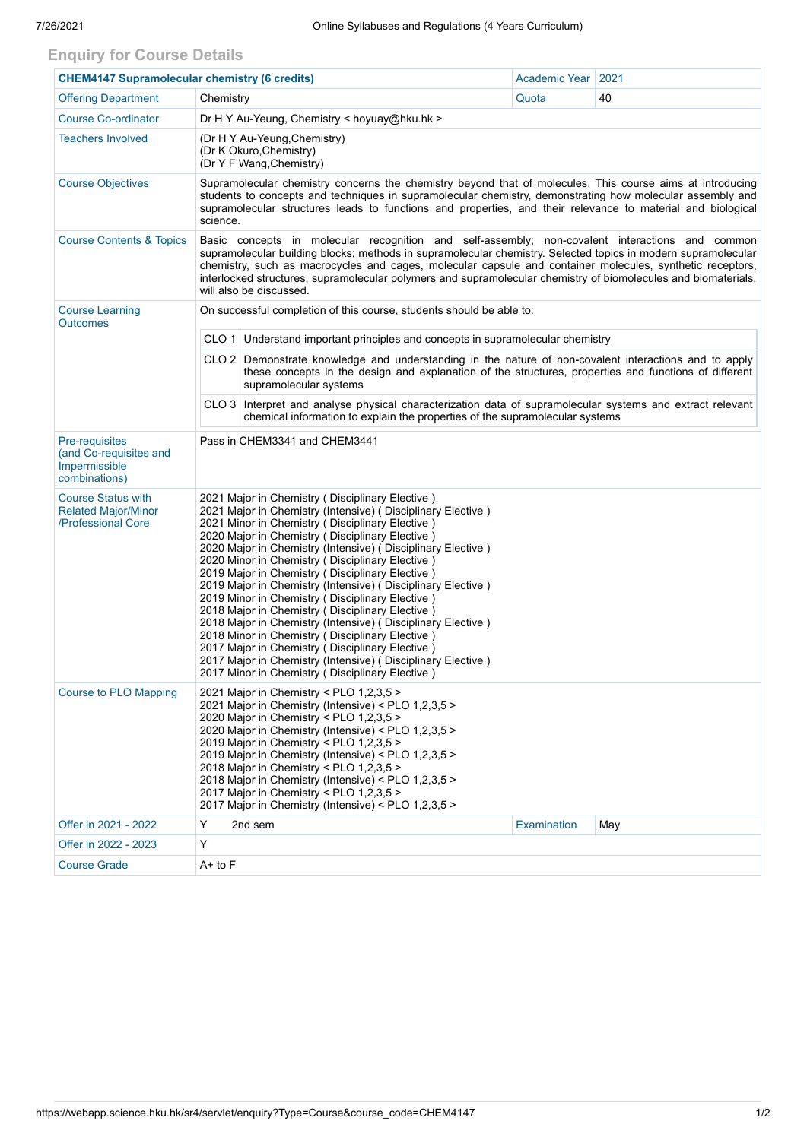## **Enquiry for Course Details**

| <b>CHEM4147 Supramolecular chemistry (6 credits)</b>                          |                                                                                                                                                                                                                                                                                                                                                                                                                                                                                                                                                                                                                                                                                                                                                                                                                                                         |         | Academic Year      | 2021 |  |  |  |  |
|-------------------------------------------------------------------------------|---------------------------------------------------------------------------------------------------------------------------------------------------------------------------------------------------------------------------------------------------------------------------------------------------------------------------------------------------------------------------------------------------------------------------------------------------------------------------------------------------------------------------------------------------------------------------------------------------------------------------------------------------------------------------------------------------------------------------------------------------------------------------------------------------------------------------------------------------------|---------|--------------------|------|--|--|--|--|
| <b>Offering Department</b>                                                    | Chemistry                                                                                                                                                                                                                                                                                                                                                                                                                                                                                                                                                                                                                                                                                                                                                                                                                                               |         |                    | 40   |  |  |  |  |
| <b>Course Co-ordinator</b>                                                    | Dr H Y Au-Yeung, Chemistry < hoyuay@hku.hk >                                                                                                                                                                                                                                                                                                                                                                                                                                                                                                                                                                                                                                                                                                                                                                                                            |         |                    |      |  |  |  |  |
| <b>Teachers Involved</b>                                                      | (Dr H Y Au-Yeung, Chemistry)<br>(Dr K Okuro, Chemistry)<br>(Dr Y F Wang, Chemistry)                                                                                                                                                                                                                                                                                                                                                                                                                                                                                                                                                                                                                                                                                                                                                                     |         |                    |      |  |  |  |  |
| <b>Course Objectives</b>                                                      | Supramolecular chemistry concerns the chemistry beyond that of molecules. This course aims at introducing<br>students to concepts and techniques in supramolecular chemistry, demonstrating how molecular assembly and<br>supramolecular structures leads to functions and properties, and their relevance to material and biological<br>science.                                                                                                                                                                                                                                                                                                                                                                                                                                                                                                       |         |                    |      |  |  |  |  |
| <b>Course Contents &amp; Topics</b>                                           | Basic concepts in molecular recognition and self-assembly; non-covalent interactions and common<br>supramolecular building blocks; methods in supramolecular chemistry. Selected topics in modern supramolecular<br>chemistry, such as macrocycles and cages, molecular capsule and container molecules, synthetic receptors,<br>interlocked structures, supramolecular polymers and supramolecular chemistry of biomolecules and biomaterials,<br>will also be discussed.                                                                                                                                                                                                                                                                                                                                                                              |         |                    |      |  |  |  |  |
| <b>Course Learning</b><br><b>Outcomes</b>                                     | On successful completion of this course, students should be able to:                                                                                                                                                                                                                                                                                                                                                                                                                                                                                                                                                                                                                                                                                                                                                                                    |         |                    |      |  |  |  |  |
|                                                                               | CLO 1 Understand important principles and concepts in supramolecular chemistry                                                                                                                                                                                                                                                                                                                                                                                                                                                                                                                                                                                                                                                                                                                                                                          |         |                    |      |  |  |  |  |
|                                                                               | CLO 2   Demonstrate knowledge and understanding in the nature of non-covalent interactions and to apply<br>these concepts in the design and explanation of the structures, properties and functions of different<br>supramolecular systems                                                                                                                                                                                                                                                                                                                                                                                                                                                                                                                                                                                                              |         |                    |      |  |  |  |  |
|                                                                               | CLO 3 Interpret and analyse physical characterization data of supramolecular systems and extract relevant<br>chemical information to explain the properties of the supramolecular systems                                                                                                                                                                                                                                                                                                                                                                                                                                                                                                                                                                                                                                                               |         |                    |      |  |  |  |  |
| Pre-requisites<br>(and Co-requisites and<br>Impermissible<br>combinations)    | Pass in CHEM3341 and CHEM3441                                                                                                                                                                                                                                                                                                                                                                                                                                                                                                                                                                                                                                                                                                                                                                                                                           |         |                    |      |  |  |  |  |
| <b>Course Status with</b><br><b>Related Major/Minor</b><br>/Professional Core | 2021 Major in Chemistry (Disciplinary Elective)<br>2021 Major in Chemistry (Intensive) (Disciplinary Elective)<br>2021 Minor in Chemistry (Disciplinary Elective)<br>2020 Major in Chemistry (Disciplinary Elective)<br>2020 Major in Chemistry (Intensive) (Disciplinary Elective)<br>2020 Minor in Chemistry (Disciplinary Elective)<br>2019 Major in Chemistry (Disciplinary Elective)<br>2019 Major in Chemistry (Intensive) (Disciplinary Elective)<br>2019 Minor in Chemistry (Disciplinary Elective)<br>2018 Major in Chemistry ( Disciplinary Elective )<br>2018 Major in Chemistry (Intensive) (Disciplinary Elective)<br>2018 Minor in Chemistry (Disciplinary Elective)<br>2017 Major in Chemistry (Disciplinary Elective)<br>2017 Major in Chemistry (Intensive) (Disciplinary Elective)<br>2017 Minor in Chemistry (Disciplinary Elective) |         |                    |      |  |  |  |  |
| <b>Course to PLO Mapping</b>                                                  | 2021 Major in Chemistry < PLO 1,2,3,5 ><br>2021 Major in Chemistry (Intensive) < PLO 1,2,3,5 ><br>2020 Major in Chemistry < PLO 1,2,3,5 ><br>2020 Major in Chemistry (Intensive) < PLO 1,2,3,5 ><br>2019 Major in Chemistry < PLO 1,2,3,5 ><br>2019 Major in Chemistry (Intensive) < PLO 1,2,3,5 ><br>2018 Major in Chemistry < PLO 1,2,3,5 ><br>2018 Major in Chemistry (Intensive) < PLO 1,2,3,5 ><br>2017 Major in Chemistry < PLO 1,2,3,5 ><br>2017 Major in Chemistry (Intensive) < PLO 1,2,3,5 >                                                                                                                                                                                                                                                                                                                                                  |         |                    |      |  |  |  |  |
| Offer in 2021 - 2022                                                          | Y                                                                                                                                                                                                                                                                                                                                                                                                                                                                                                                                                                                                                                                                                                                                                                                                                                                       | 2nd sem | <b>Examination</b> | May  |  |  |  |  |
| Offer in 2022 - 2023                                                          | Υ                                                                                                                                                                                                                                                                                                                                                                                                                                                                                                                                                                                                                                                                                                                                                                                                                                                       |         |                    |      |  |  |  |  |
| <b>Course Grade</b>                                                           | A+ to F                                                                                                                                                                                                                                                                                                                                                                                                                                                                                                                                                                                                                                                                                                                                                                                                                                                 |         |                    |      |  |  |  |  |